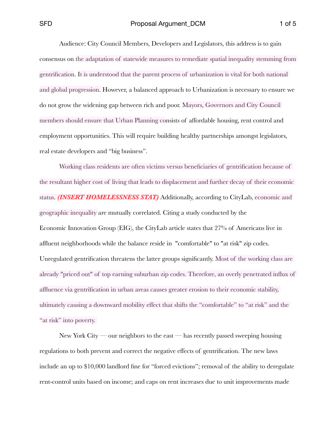Audience: City Council Members, Developers and Legislators, this address is to gain consensus on the adaptation of statewide measures to remediate spatial inequality stemming from gentrification. It is understood that the parent process of urbanization is vital for both national and global progression. However, a balanced approach to Urbanization is necessary to ensure we do not grow the widening gap between rich and poor. Mayors, Governors and City Council members should ensure that Urban Planning consists of affordable housing, rent control and employment opportunities. This will require building healthy partnerships amongst legislators, real estate developers and "big business".

Working class residents are often victims versus beneficiaries of gentrification because of the resultant higher cost of living that leads to displacement and further decay of their economic status. *(INSERT HOMELESSNESS STAT)* Additionally, according to CityLab, economic and geographic inequality are mutually correlated. Citing a study conducted by the Economic Innovation Group (EIG), the CityLab article states that 27% of Americans live in affluent neighborhoods while the balance reside in "comfortable" to "at risk" zip codes. Unregulated gentrification threatens the latter groups significantly. Most of the working class are already "priced out" of top earning suburban zip codes. Therefore, an overly penetrated influx of affluence via gentrification in urban areas causes greater erosion to their economic stability, ultimately causing a downward mobility effect that shifts the "comfortable" to "at risk" and the "at risk" into poverty.

New York City — our neighbors to the east — has recently passed sweeping housing regulations to both prevent and correct the negative effects of gentrification. The new laws include an up to \$10,000 landlord fine for "forced evictions"; removal of the ability to deregulate rent-control units based on income; and caps on rent increases due to unit improvements made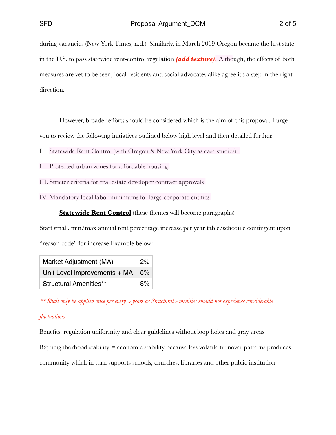during vacancies (New York Times, n.d.). Similarly, in March 2019 Oregon became the first state in the U.S. to pass statewide rent-control regulation *(add texture).* Although, the effects of both measures are yet to be seen, local residents and social advocates alike agree it's a step in the right direction.

However, broader efforts should be considered which is the aim of this proposal. I urge

you to review the following initiatives outlined below high level and then detailed further.

- I. Statewide Rent Control (with Oregon & New York City as case studies)
- II. Protected urban zones for affordable housing
- III. Stricter criteria for real estate developer contract approvals
- IV. Mandatory local labor minimums for large corporate entities

**Statewide Rent Control** (these themes will become paragraphs)

Start small, min/max annual rent percentage increase per year table/schedule contingent upon "reason code" for increase Example below:

| Market Adjustment (MA)                   | 2%    |
|------------------------------------------|-------|
| Unit Level Improvements $+$ MA $\mid$ 5% |       |
| <b>Structural Amenities**</b>            | $8\%$ |

*\*\* Shall only be applied once per every 5 years as Structural Amenities should not experience considerable* 

### *fluctuations*

Benefits: regulation uniformity and clear guidelines without loop holes and gray areas  $B2$ ; neighborhood stability = economic stability because less volatile turnover patterns produces community which in turn supports schools, churches, libraries and other public institution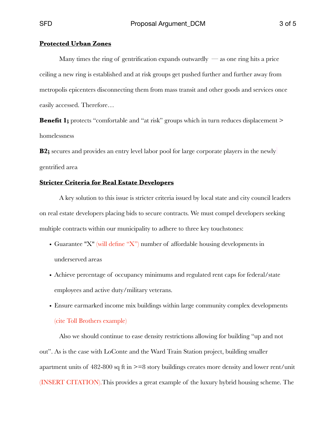#### **Protected Urban Zones**

Many times the ring of gentrification expands outwardly  $\sim$  as one ring hits a price ceiling a new ring is established and at risk groups get pushed further and further away from metropolis epicenters disconnecting them from mass transit and other goods and services once easily accessed. Therefore…

**Benefit 1;** protects "comfortable and "at risk" groups which in turn reduces displacement > homelessness

**B2;** secures and provides an entry level labor pool for large corporate players in the newly gentrified area

### **Stricter Criteria for Real Estate Developers**

A key solution to this issue is stricter criteria issued by local state and city council leaders on real estate developers placing bids to secure contracts. We must compel developers seeking multiple contracts within our municipality to adhere to three key touchstones:

- Guarantee "X" (will define "X") number of affordable housing developments in underserved areas
- Achieve percentage of occupancy minimums and regulated rent caps for federal/state employees and active duty/military veterans.
- Ensure earmarked income mix buildings within large community complex developments (cite Toll Brothers example)

Also we should continue to ease density restrictions allowing for building "up and not out". As is the case with LoConte and the Ward Train Station project, building smaller apartment units of 482-800 sq ft in >=8 story buildings creates more density and lower rent/unit (INSERT CITATION).This provides a great example of the luxury hybrid housing scheme. The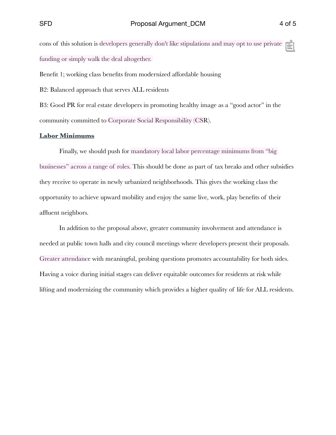cons of this solution is developers generally don't like stipulations and may opt to use private funding or simply walk the deal altogether.

Benefit 1; working class benefits from modernized affordable housing

B2: Balanced approach that serves ALL residents

B3: Good PR for real estate developers in promoting healthy image as a "good actor" in the community committed to Corporate Social Responsibility (CSR).

### **Labor Minimums**

Finally, we should push for mandatory local labor percentage minimums from "big businesses" across a range of roles. This should be done as part of tax breaks and other subsidies they receive to operate in newly urbanized neighborhoods. This gives the working class the opportunity to achieve upward mobility and enjoy the same live, work, play benefits of their affluent neighbors.

In addition to the proposal above, greater community involvement and attendance is needed at public town halls and city council meetings where developers present their proposals. Greater attendance with meaningful, probing questions promotes accountability for both sides. Having a voice during initial stages can deliver equitable outcomes for residents at risk while lifting and modernizing the community which provides a higher quality of life for ALL residents.